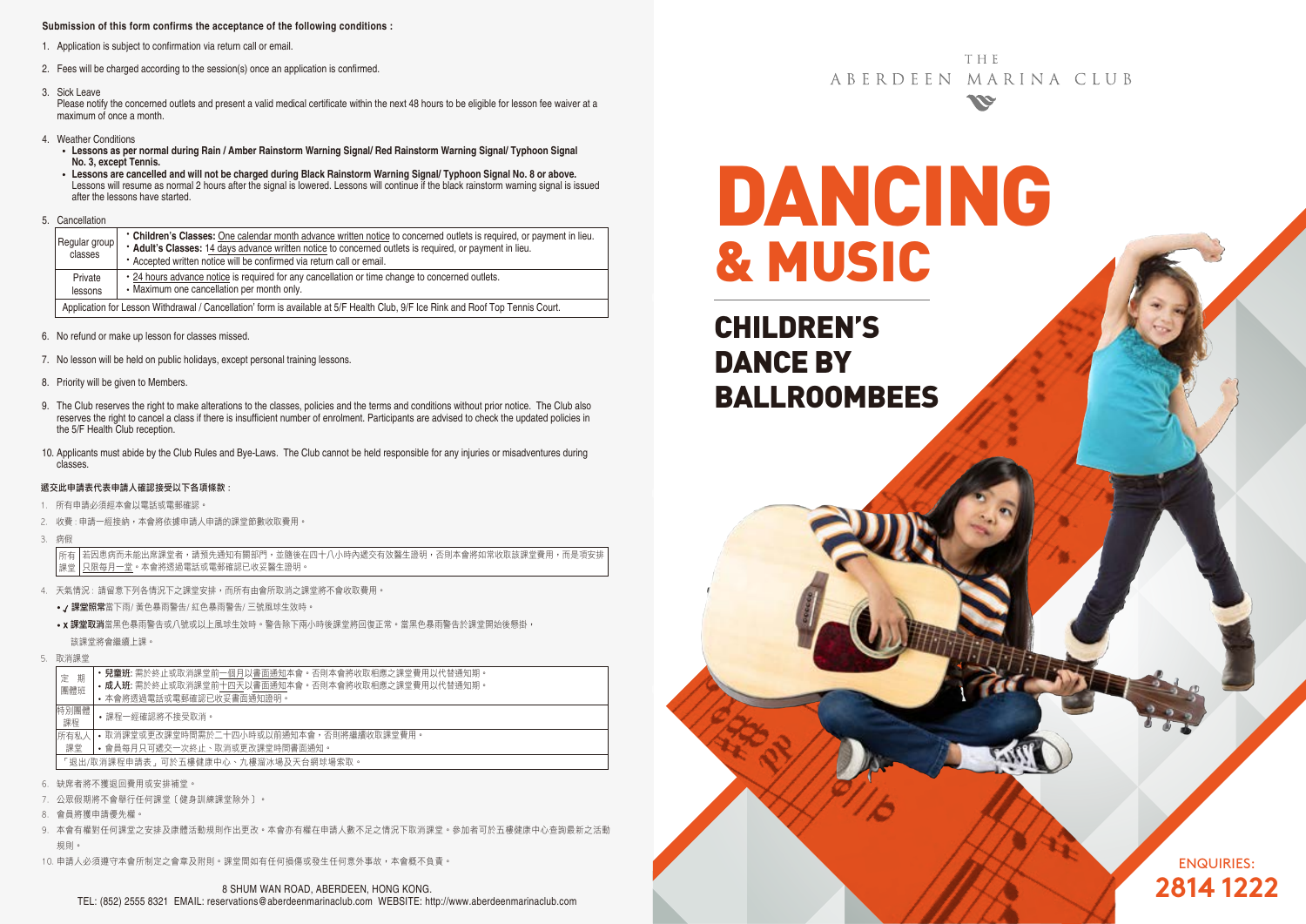#### **Submission of this form confirms the acceptance of the following conditions :**

- 1. Application is subject to confirmation via return call or email.
- 2. Fees will be charged according to the session(s) once an application is confirmed.
- 3. Sick Leave

 Please notify the concerned outlets and present a valid medical certificate within the next 48 hours to be eligible for lesson fee waiver at a maximum of once a month.

- 4. Weather Conditions
	- **Lessons as per normal during Rain / Amber Rainstorm Warning Signal/ Red Rainstorm Warning Signal/ Typhoon Signal No. 3, except Tennis.**
	- **Lessons are cancelled and will not be charged during Black Rainstorm Warning Signal/ Typhoon Signal No. 8 or above.** Lessons will resume as normal 2 hours after the signal is lowered. Lessons will continue if the black rainstorm warning signal is issued after the lessons have started.
- 5. Cancellation

| Regular group<br>classes                                                                                                        | • Children's Classes: One calendar month advance written notice to concerned outlets is required, or payment in lieu.<br>* Adult's Classes: 14 days advance written notice to concerned outlets is required, or payment in lieu.<br>• Accepted written notice will be confirmed via return call or email. |  |  |  |  |
|---------------------------------------------------------------------------------------------------------------------------------|-----------------------------------------------------------------------------------------------------------------------------------------------------------------------------------------------------------------------------------------------------------------------------------------------------------|--|--|--|--|
| Private<br>lessons                                                                                                              | . 24 hours advance notice is required for any cancellation or time change to concerned outlets.<br>• Maximum one cancellation per month only.                                                                                                                                                             |  |  |  |  |
| Application for Lesson Withdrawal / Cancellation' form is available at 5/F Health Club, 9/F Ice Rink and Roof Top Tennis Court. |                                                                                                                                                                                                                                                                                                           |  |  |  |  |

- 6. No refund or make up lesson for classes missed.
- 7. No lesson will be held on public holidays, except personal training lessons.
- 8. Priority will be given to Members.
- 9. The Club reserves the right to make alterations to the classes, policies and the terms and conditions without prior notice. The Club also reserves the right to cancel a class if there is insufficient number of enrolment. Participants are advised to check the updated policies in the 5/F Health Club reception.
- 10. Applicants must abide by the Club Rules and Bye-Laws. The Club cannot be held responsible for any injuries or misadventures during classes.

#### 遞交此申請表代表申請人確認接受以下各項條款 :

- 1. 所有申請必須經本會以電話或電郵確認。
- 2. 收費 : 申請一經接納,本會將依據申請人申請的課堂節數收取費用。
- 3. 病假

若因患病而未能出席課堂者,請預先通知有關部門,並隨後在四十八小時內遞交有效醫生證明,否則本會將如常收取該課堂費用,而是項安排 只限每月一堂。本會將透過電話或電郵確認已收妥醫生證明。 所有 課堂

- 4. 天氣情況 : 請留意下列各情況下之課堂安排,而所有由會所取消之課堂將不會收取費用。
	- / 課堂照常當下雨/ 黃色暴雨警告/ 紅色暴雨警告/ 三號風球生效時。
	- X 課堂取消當黑色暴雨警告或八號或以上風球生效時。警告除下兩小時後課堂將回復正常。當黑色暴雨警告於課堂開始後懸掛, 該課堂將會繼續上課。
- 5. 取消課堂

| 期<br>定                              | <b>兒童班:</b> 需於終止或取消課堂前一個月以書面通知本會。否則本會將收取相應之課堂費用以代替通知期。                  |  |  |  |  |
|-------------------------------------|-------------------------------------------------------------------------|--|--|--|--|
| 團體班                                 | • 成人班: 需於終止或取消課堂前十四天以書面通知本會。否則本會將收取相應之課堂費用以代替通知期。                       |  |  |  |  |
|                                     | • 本會將诱過電話或電郵確認已收妥書面通知證明。                                                |  |  |  |  |
| 特別團體                                | •課程一經確認將不接受取消。                                                          |  |  |  |  |
| 課程                                  |                                                                         |  |  |  |  |
| 所有私人                                | • 取消課堂或更改課堂時間需於二十四小時或以前捅知本會,否則將繼續收取課堂費用。                                |  |  |  |  |
| 課堂                                  | • 會員每月只可遞交一次終止、取消或更改課堂時間書面通知。                                           |  |  |  |  |
| 「狠出/取消課程申請表,可於五樓健康中心、九樓溜冰場及天台網球場索取。 |                                                                         |  |  |  |  |
|                                     | Andre of the Hotel to Making a control of the Hotel and Andre And Andre |  |  |  |  |

- 6. 缺席者將不獲退回費用或安排補堂。
- 公眾假期將不會舉行任何課堂〔健身訓練課堂除外〕。
- 8. 會員將獲申請優先權。
- 9. 本會有權對任何課堂之安排及康體活動規則作出更改。本會亦有權在申請人數不足之情況下取消課堂。參加者可於五樓健康中心查詢最新之活動 規則。
- 10. 申請人必須遵守本會所制定之會章及附則。課堂間如有任何損傷或發生任何意外事故,本會概不負責。

THE ABERDEEN MARINA CLUB **KER** 

# DANCING & MUSIC

CHILDREN'S DANCE BY BALLROOMBEES

> ENQUIRIES: **2814 1222**